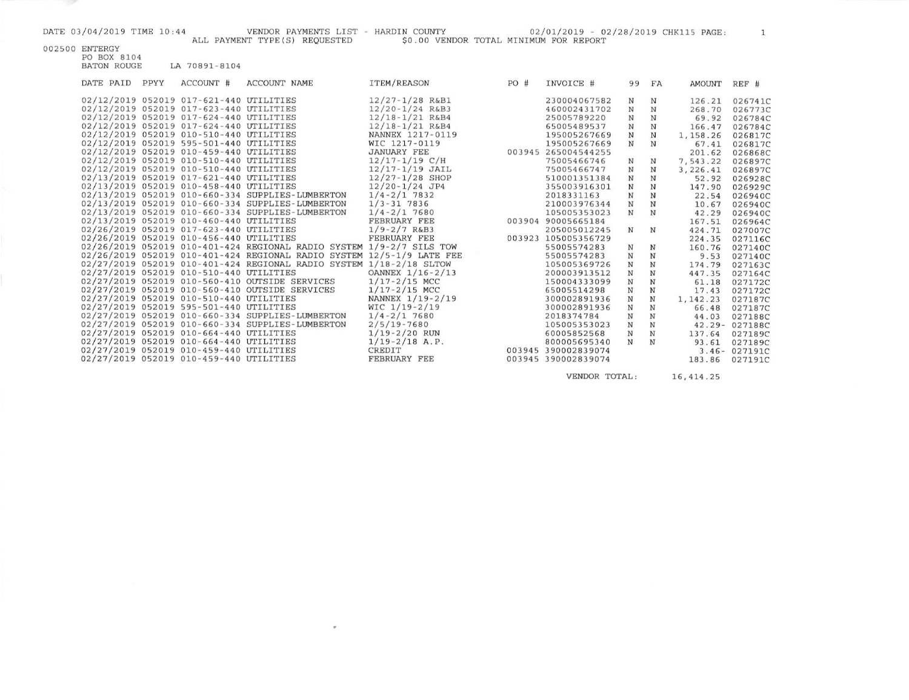**START** 

002500 ENTERGY<br>PO BOX 8104<br>BATON ROUGE LA 70891-8104

| DATE PAID | PPYY | ACCOUNT #                               | <b>ACCOUNT NAME</b>                                                   | ITEM/REASON         | PO# | INVOICE #           | 99          | FA          | AMOUNT    | REF #         |
|-----------|------|-----------------------------------------|-----------------------------------------------------------------------|---------------------|-----|---------------------|-------------|-------------|-----------|---------------|
|           |      | 02/12/2019 052019 017-621-440 UTILITIES |                                                                       | $12/27 - 1/28$ R&B1 |     | 230004067582        | N           | N           | 126.21    | 026741C       |
|           |      | 02/12/2019 052019 017-623-440 UTILITIES |                                                                       | $12/20 - 1/24$ R&B3 |     | 460002431702        | N           | N           | 268.70    | 026773C       |
|           |      | 02/12/2019 052019 017-624-440 UTILITIES |                                                                       | $12/18 - 1/21$ R&B4 |     | 25005789220         | N           | N           | 69.92     | 026784C       |
|           |      | 02/12/2019 052019 017-624-440 UTILITIES |                                                                       | $12/18 - 1/21$ R&B4 |     | 65005489537         | N           | N           | 166.47    | 026784C       |
|           |      | 02/12/2019 052019 010-510-440 UTILITIES |                                                                       | NANNEX 1217-0119    |     | 195005267669        | $_{\rm N}$  | $_{\rm N}$  | 1,158.26  | 026817C       |
|           |      | 02/12/2019 052019 595-501-440 UTILITIES |                                                                       | WIC 1217-0119       |     | 195005267669        | $_{\rm N}$  | N           | 67.41     | 026817C       |
|           |      | 02/12/2019 052019 010-459-440 UTILITIES |                                                                       | <b>JANUARY FEE</b>  |     | 003945 265004544255 |             |             | 201.62    | 026868C       |
|           |      | 02/12/2019 052019 010-510-440 UTILITIES |                                                                       | $12/17 - 1/19$ C/H  |     | 75005466746         | N           | N           | 7,543.22  | 026897C       |
|           |      | 02/12/2019 052019 010-510-440 UTILITIES |                                                                       | $12/17 - 1/19$ JAIL |     | 75005466747         | N           | $_{\rm N}$  | 3,226.41  | 026897C       |
|           |      | 02/13/2019 052019 017-621-440 UTILITIES |                                                                       | $12/27 - 1/28$ SHOP |     | 510001351384        | $_{\rm N}$  | N           | 52.92     | 026928C       |
|           |      | 02/13/2019 052019 010-458-440 UTILITIES |                                                                       | $12/20 - 1/24$ JP4  |     | 355003916301        | ${\bf N}$   | $_{\rm N}$  | 147.90    | 026929C       |
|           |      |                                         | 02/13/2019 052019 010-660-334 SUPPLIES-LUMBERTON                      | $1/4 - 2/1$ 7832    |     | 2018331163          | $\mathbf N$ | $\mathbf N$ | 22.54     | 026940C       |
|           |      |                                         | 02/13/2019 052019 010-660-334 SUPPLIES-LUMBERTON                      | $1/3 - 31$ 7836     |     | 210003976344        | $_{\rm N}$  | $_{\rm N}$  | 10.67     | 026940C       |
|           |      |                                         | 02/13/2019 052019 010-660-334 SUPPLIES-LUMBERTON                      | $1/4 - 2/1$ 7680    |     | 105005353023        | $_{\rm N}$  | $_{\rm N}$  | 42.29     | 026940C       |
|           |      | 02/13/2019 052019 010-460-440 UTILITIES |                                                                       | FEBRUARY FEE        |     | 003904 90005665184  |             |             | 167.51    | 026964C       |
|           |      |                                         | 02/26/2019 052019 017-623-440 UTILITIES                               | $1/9 - 2/7$ R&B3    |     | 205005012245        | $_{\rm N}$  | N           | 424.71    | 027007C       |
|           |      | 02/26/2019 052019 010-456-440 UTILITIES |                                                                       | FEBRUARY FEE        |     | 003923 105005356729 |             |             | 224.35    | 027116C       |
|           |      |                                         | 02/26/2019 052019 010-401-424 REGIONAL RADIO SYSTEM 1/9-2/7 SILS TOW  |                     |     | 55005574283         | N           | N           | 160.76    | 027140C       |
|           |      |                                         | 02/26/2019 052019 010-401-424 REGIONAL RADIO SYSTEM 12/5-1/9 LATE FEE |                     |     | 55005574283         | N           | N           | 9.53      | 027140C       |
|           |      |                                         | 02/27/2019 052019 010-401-424 REGIONAL RADIO SYSTEM 1/18-2/18 SLTOW   |                     |     | 105005369726        | $_{\rm N}$  | N           | 174.79    | 027163C       |
|           |      | 02/27/2019 052019 010-510-440 UTILITIES |                                                                       | OANNEX 1/16-2/13    |     | 200003913512        | $\mathbb N$ | N           | 447.35    | 027164C       |
|           |      |                                         | 02/27/2019 052019 010-560-410 OUTSIDE SERVICES                        | $1/17 - 2/15$ MCC   |     | 150004333099        | $\mathbf N$ | ${\bf N}$   | 61.18     | 027172C       |
|           |      |                                         | 02/27/2019 052019 010-560-410 OUTSIDE SERVICES                        | $1/17 - 2/15$ MCC   |     | 65005514298         | $_{\rm N}$  | $\mathbf N$ | 17.43     | 027172C       |
|           |      | 02/27/2019 052019 010-510-440 UTILITIES |                                                                       | NANNEX 1/19-2/19    |     | 300002891936        | N           | $_{\rm N}$  | 1, 142.23 | 027187C       |
|           |      | 02/27/2019 052019 595-501-440 UTILITIES |                                                                       | $WIC$ 1/19-2/19     |     | 300002891936        | $\mathbf N$ | N           | 66.48     | 027187C       |
|           |      |                                         | 02/27/2019 052019 010-660-334 SUPPLIES-LUMBERTON                      | $1/4 - 2/1$ 7680    |     | 2018374784          | N           | N           | 44.03     | 027188C       |
|           |      |                                         | 02/27/2019 052019 010-660-334 SUPPLIES-LUMBERTON                      | $2/5/19 - 7680$     |     | 105005353023        | N           | N           |           | 42.29-027188C |
|           |      | 02/27/2019 052019 010-664-440 UTILITIES |                                                                       | $1/19 - 2/20$ RUN   |     | 60005852568         | N           | $_{\rm N}$  | 137.64    | 027189C       |
|           |      | 02/27/2019 052019 010-664-440 UTILITIES |                                                                       | $1/19 - 2/18$ A.P.  |     | 800005695340        | N           | N           | 93.61     | 027189C       |
|           |      | 02/27/2019 052019 010-459-440 UTILITIES |                                                                       | CREDIT              |     | 003945 390002839074 |             |             |           | 3.46-027191C  |
|           |      | 02/27/2019 052019 010-459-440 UTILITIES |                                                                       | FEBRUARY FEE        |     | 003945 390002839074 |             |             | 183.86    | 027191C       |
|           |      |                                         |                                                                       |                     |     |                     |             |             |           |               |

 $\sigma$ 

VENDOR TOTAL: 16,414.25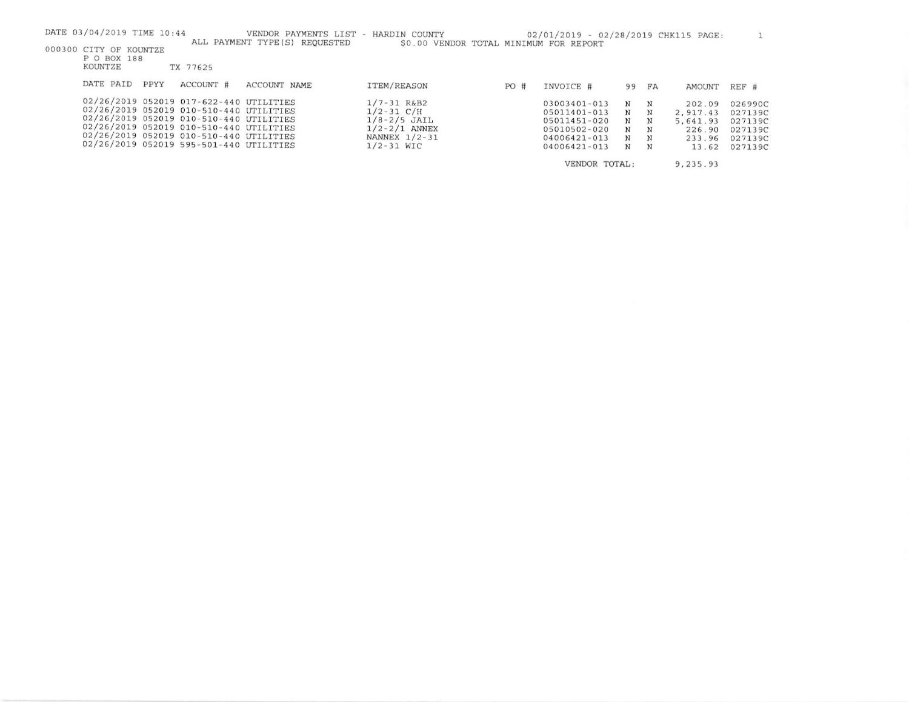| DATE 03/04/2019 TIME 10:44                                                         | VENDOR PAYMENTS LIST           | HARDIN COUNTY<br>$\sim$                |     | 02/01/2019 - 02/28/2019 CHK115 PAGE: |        |        |                      |                    |
|------------------------------------------------------------------------------------|--------------------------------|----------------------------------------|-----|--------------------------------------|--------|--------|----------------------|--------------------|
| 000300 CITY OF KOUNTZE<br>P O BOX 188                                              | ALL PAYMENT TYPE (S) REQUESTED | \$0.00 VENDOR TOTAL MINIMUM FOR REPORT |     |                                      |        |        |                      |                    |
| KOUNTZE<br>TX 77625                                                                |                                |                                        |     |                                      |        |        |                      |                    |
| DATE PAID<br><b>PPYY</b><br>ACCOUNT #                                              | ACCOUNT NAME                   | <b>ITEM/REASON</b>                     | PO# | INVOICE #                            |        | 99 FA  | <b>AMOUNT</b>        | REF #              |
| 02/26/2019 052019 017-622-440 UTILITIES                                            |                                | $1/7 - 31$ R&B2                        |     | 03003401-013                         | N      | N      | 202.09               | 026990C            |
| 02/26/2019 052019 010-510-440 UTILITIES<br>02/26/2019 052019 010-510-440 UTILITIES |                                | $1/2 - 31$ C/H<br>$1/8 - 2/5$ JAIL     |     | 05011401-013<br>05011451-020         | N<br>N | N<br>N | 2.917.43<br>5,641.93 | 027139C<br>027139C |
| 02/26/2019 052019 010-510-440 UTILITIES                                            |                                | $1/2 - 2/1$ ANNEX                      |     | 05010502-020                         | N      | N      | 226.90               | 027139C            |
| 02/26/2019 052019 010-510-440 UTILITIES<br>02/26/2019 052019 595-501-440 UTILITIES |                                | NANNEX $1/2 - 31$<br>$1/2 - 31$ WIC    |     | 04006421-013<br>04006421-013         | N<br>N | N<br>N | 233.96<br>13.62      | 027139C<br>027139C |

VENDOR TOTAL: 9, 235.93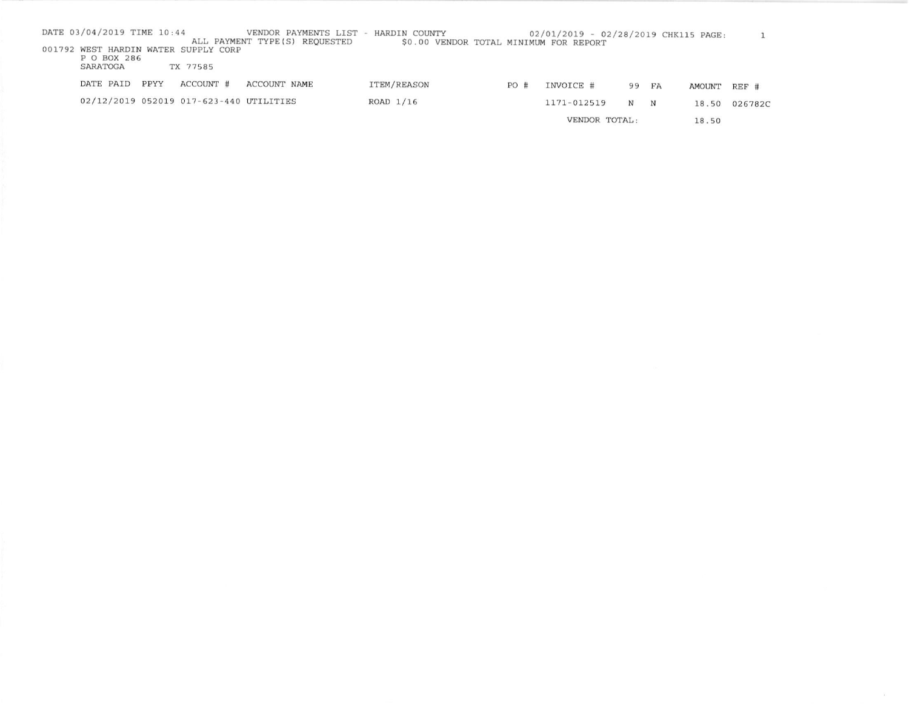| DATE 03/04/2019 TIME 10:44           |      |                                         | VENDOR PAYMENTS LIST -         | HARDIN COUNTY |     | 02/01/2019 - 02/28/2019 CHK115 PAGE:   |   |       |        |               |
|--------------------------------------|------|-----------------------------------------|--------------------------------|---------------|-----|----------------------------------------|---|-------|--------|---------------|
|                                      |      |                                         | ALL PAYMENT TYPE (S) REQUESTED |               |     | \$0.00 VENDOR TOTAL MINIMUM FOR REPORT |   |       |        |               |
| 001792 WEST HARDIN WATER SUPPLY CORP |      |                                         |                                |               |     |                                        |   |       |        |               |
| P O BOX 286                          |      |                                         |                                |               |     |                                        |   |       |        |               |
| SARATOGA                             |      | TX 77585                                |                                |               |     |                                        |   |       |        |               |
|                                      |      |                                         |                                |               |     |                                        |   |       |        |               |
| DATE PAID                            | PPYY | ACCOUNT #                               | ACCOUNT NAME                   | ITEM/REASON   | PO# | INVOICE #                              |   | 99 FA | AMOUNT | $REF$ #       |
|                                      |      | 02/12/2019 052019 017-623-440 UTILITIES |                                | $ROAD$ $1/16$ |     | 1171-012519                            |   |       |        |               |
|                                      |      |                                         |                                |               |     |                                        | N | N     |        | 18.50 026782C |
|                                      |      |                                         |                                |               |     | VENDOR TOTAL:                          |   |       | 18.50  |               |
|                                      |      |                                         |                                |               |     |                                        |   |       |        |               |

 $\sim$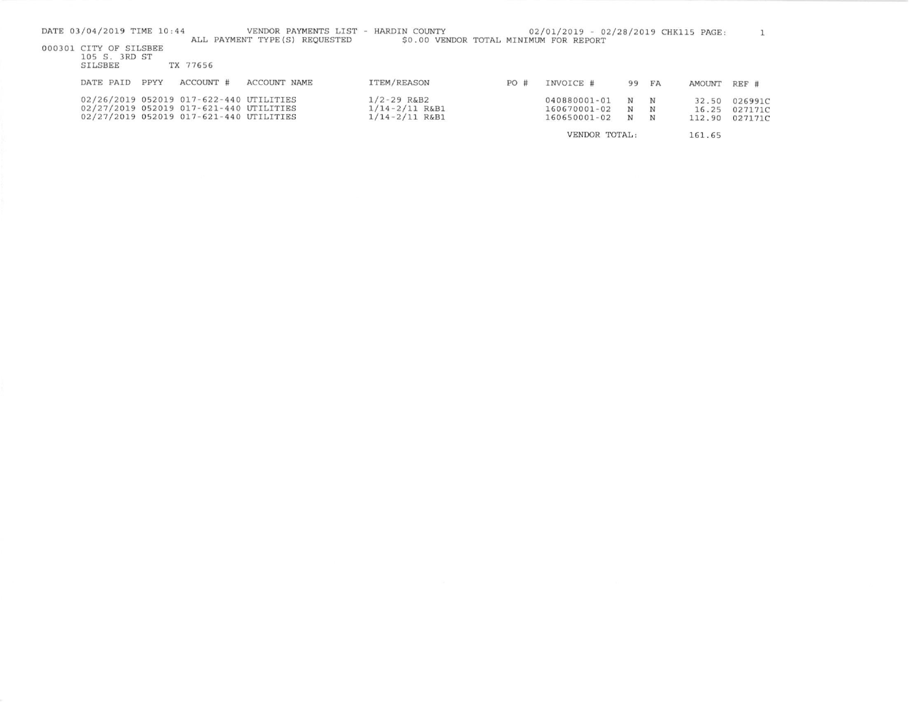| DATE 03/04/2019 TIME 10:44 | VENDOR PAYMENTS LIST - HARDIN COUNTY<br>ALL PAYMENT TYPE (S) REOUESTED | \$0.00 VENDOR TOTAL MINIMUM FOR REPORT |     | 02/01/2019 - 02/28/2019 CHK115 PAGE: |       |   |        |         |
|----------------------------|------------------------------------------------------------------------|----------------------------------------|-----|--------------------------------------|-------|---|--------|---------|
| 000301 CITY OF SILSBEE     |                                                                        |                                        |     |                                      |       |   |        |         |
| 105 S. 3RD ST<br>SILSBEE   | TX 77656                                                               |                                        |     |                                      |       |   |        |         |
|                            |                                                                        |                                        |     |                                      |       |   |        |         |
| PPYY<br>DATE PAID          | ACCOUNT #<br>ACCOUNT NAME                                              | ITEM/REASON                            | PO# | INVOICE #                            | 99 FA |   | AMOUNT | REF #   |
|                            | 02/26/2019 052019 017-622-440 UTILITIES                                | $1/2 - 29$ R&B2                        |     | 040880001-01                         | N     | N | 32.50  | 026991C |
|                            | 02/27/2019 052019 017-621-440 UTILITIES                                | $1/14 - 2/11$ R&B1                     |     | 160670001-02                         | N     | N | 16.25  | 027171C |
|                            | 02/27/2019 052019 017-621-440 UTILITIES                                | $1/14 - 2/11$ R&B1                     |     | 160650001-02                         | N     | N | 112.90 | 027171C |
|                            |                                                                        |                                        |     | VENDOR TOTAL:                        |       |   | 161.65 |         |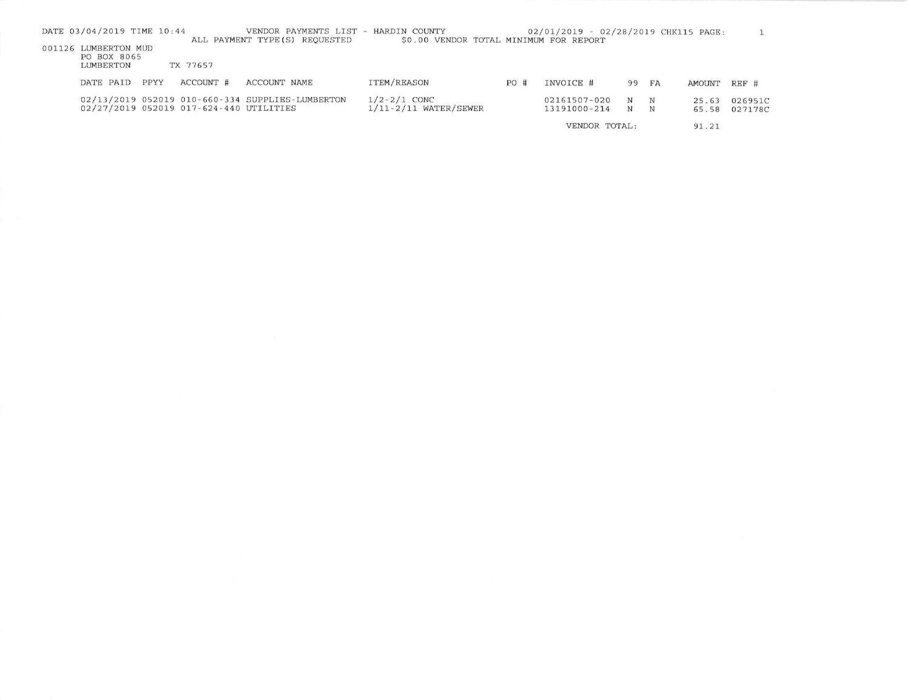|               | DATE 03/04/2019 TIME 10:44                       |             |                                         | VENDOR PAYMENTS LIST - HARDIN COUNTY<br>ALL PAYMENT TYPE (S) REQUESTED | \$0.00 VENDOR TOTAL MINIMUM FOR REPORT        |     | 02/01/2019 - 02/28/2019 CHK115 PAGE: |                          |                 |                |                    |
|---------------|--------------------------------------------------|-------------|-----------------------------------------|------------------------------------------------------------------------|-----------------------------------------------|-----|--------------------------------------|--------------------------|-----------------|----------------|--------------------|
|               | 001126 LUMBERTON MUD<br>PO BOX 8065<br>LUMBERTON |             | TX 77657                                |                                                                        |                                               |     |                                      |                          |                 |                |                    |
|               | DATE PAID                                        | <b>PPYY</b> | ACCOUNT #                               | ACCOUNT NAME                                                           | ITEM/REASON                                   | PO# | INVOICE #                            | 99                       | FA              | AMOUNT         | REF #              |
|               |                                                  |             | 02/27/2019 052019 017-624-440 UTILITIES | 02/13/2019 052019 010-660-334 SUPPLIES-LUMBERTON                       | $1/2 - 2/1$ CONC<br>$1/11 - 2/11$ WATER/SEWER |     | 02161507-020<br>13191000-214         | $_{\rm N}$<br>$_{\rm N}$ | $_{\rm N}$<br>N | 25.63<br>65.58 | 026951C<br>027178C |
| VENDOR TOTAL: |                                                  |             |                                         |                                                                        |                                               |     | 91.21                                |                          |                 |                |                    |